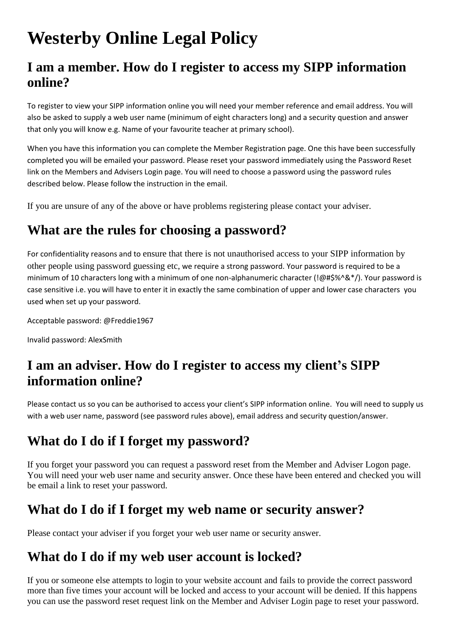# **Westerby Online Legal Policy**

### **I am a member. How do I register to access my SIPP information online?**

To register to view your SIPP information online you will need your member reference and email address. You will also be asked to supply a web user name (minimum of eight characters long) and a security question and answer that only you will know e.g. Name of your favourite teacher at primary school).

When you have this information you can complete the Member Registration page. One this have been successfully completed you will be emailed your password. Please reset your password immediately using the Password Reset link on the Members and Advisers Login page. You will need to choose a password using the password rules described below. Please follow the instruction in the email.

If you are unsure of any of the above or have problems registering please contact your adviser.

### **What are the rules for choosing a password?**

For confidentiality reasons and to ensure that there is not unauthorised access to your SIPP information by other people using password guessing etc, we require a strong password. Your password is required to be a minimum of 10 characters long with a minimum of one non-alphanumeric character (!@#\$%^&\*/). Your password is case sensitive i.e. you will have to enter it in exactly the same combination of upper and lower case characters you used when set up your password.

Acceptable password: @Freddie1967

Invalid password: AlexSmith

## **I am an adviser. How do I register to access my client's SIPP information online?**

Please contact us so you can be authorised to access your client's SIPP information online. You will need to supply us with a web user name, password (see password rules above), email address and security question/answer.

### **What do I do if I forget my password?**

If you forget your password you can request a password reset from the Member and Adviser Logon page. You will need your web user name and security answer. Once these have been entered and checked you will be email a link to reset your password.

#### **What do I do if I forget my web name or security answer?**

Please contact your adviser if you forget your web user name or security answer.

### **What do I do if my web user account is locked?**

If you or someone else attempts to login to your website account and fails to provide the correct password more than five times your account will be locked and access to your account will be denied. If this happens you can use the password reset request link on the Member and Adviser Login page to reset your password.